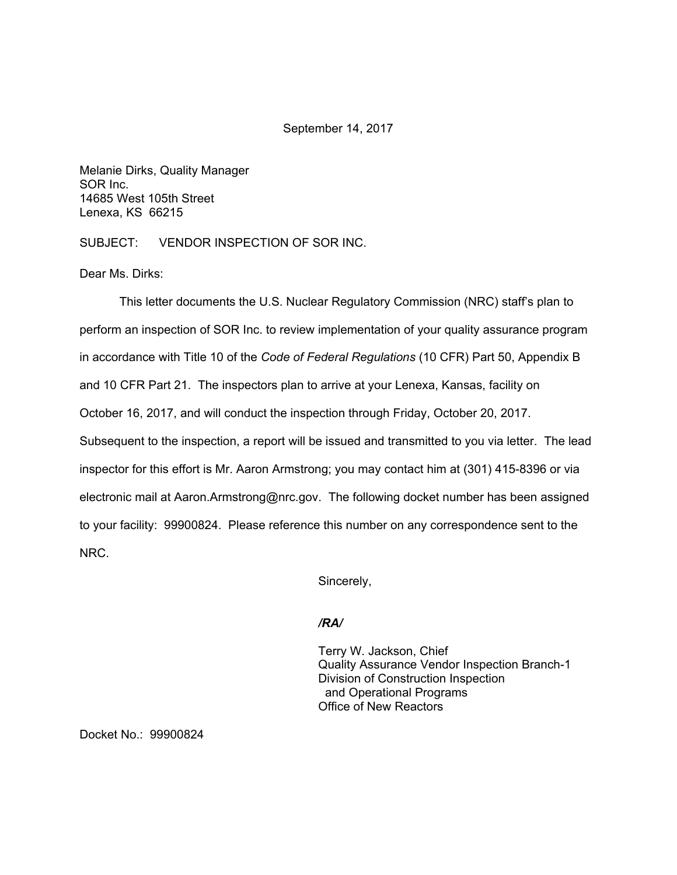## September 14, 2017

Melanie Dirks, Quality Manager SOR Inc. 14685 West 105th Street Lenexa, KS 66215

SUBJECT: VENDOR INSPECTION OF SOR INC.

Dear Ms. Dirks:

This letter documents the U.S. Nuclear Regulatory Commission (NRC) staff's plan to perform an inspection of SOR Inc. to review implementation of your quality assurance program in accordance with Title 10 of the *Code of Federal Regulations* (10 CFR) Part 50, Appendix B and 10 CFR Part 21. The inspectors plan to arrive at your Lenexa, Kansas, facility on October 16, 2017, and will conduct the inspection through Friday, October 20, 2017. Subsequent to the inspection, a report will be issued and transmitted to you via letter. The lead inspector for this effort is Mr. Aaron Armstrong; you may contact him at (301) 415-8396 or via electronic mail at Aaron.Armstrong@nrc.gov. The following docket number has been assigned to your facility: 99900824. Please reference this number on any correspondence sent to the NRC.

Sincerely,

## */RA/*

Terry W. Jackson, Chief Quality Assurance Vendor Inspection Branch-1 Division of Construction Inspection and Operational Programs Office of New Reactors

Docket No.: 99900824